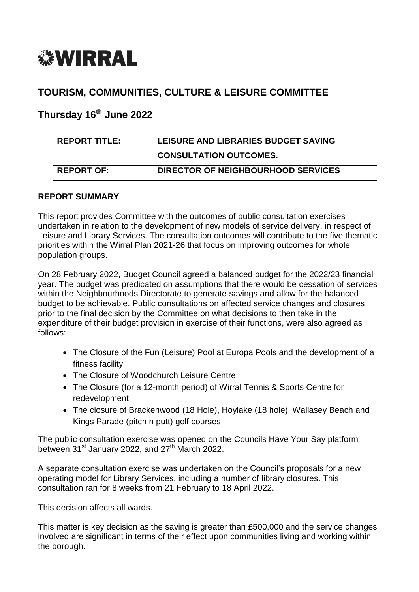

# **TOURISM, COMMUNITIES, CULTURE & LEISURE COMMITTEE**

# **Thursday 16th June 2022**

| <b>REPORT TITLE:</b> | <b>LEISURE AND LIBRARIES BUDGET SAVING</b> |
|----------------------|--------------------------------------------|
|                      | <b>CONSULTATION OUTCOMES.</b>              |
| <b>REPORT OF:</b>    | DIRECTOR OF NEIGHBOURHOOD SERVICES         |

#### **REPORT SUMMARY**

This report provides Committee with the outcomes of public consultation exercises undertaken in relation to the development of new models of service delivery, in respect of Leisure and Library Services. The consultation outcomes will contribute to the five thematic priorities within the Wirral Plan 2021-26 that focus on improving outcomes for whole population groups.

On 28 February 2022, Budget Council agreed a balanced budget for the 2022/23 financial year. The budget was predicated on assumptions that there would be cessation of services within the Neighbourhoods Directorate to generate savings and allow for the balanced budget to be achievable. Public consultations on affected service changes and closures prior to the final decision by the Committee on what decisions to then take in the expenditure of their budget provision in exercise of their functions, were also agreed as follows:

- The Closure of the Fun (Leisure) Pool at Europa Pools and the development of a fitness facility
- The Closure of Woodchurch Leisure Centre
- The Closure (for a 12-month period) of Wirral Tennis & Sports Centre for redevelopment
- The closure of Brackenwood (18 Hole), Hoylake (18 hole), Wallasey Beach and Kings Parade (pitch n putt) golf courses

The public consultation exercise was opened on the Councils Have Your Say platform between 31<sup>st</sup> January 2022, and 27<sup>th</sup> March 2022.

A separate consultation exercise was undertaken on the Council's proposals for a new operating model for Library Services, including a number of library closures. This consultation ran for 8 weeks from 21 February to 18 April 2022.

This decision affects all wards.

This matter is key decision as the saving is greater than £500,000 and the service changes involved are significant in terms of their effect upon communities living and working within the borough.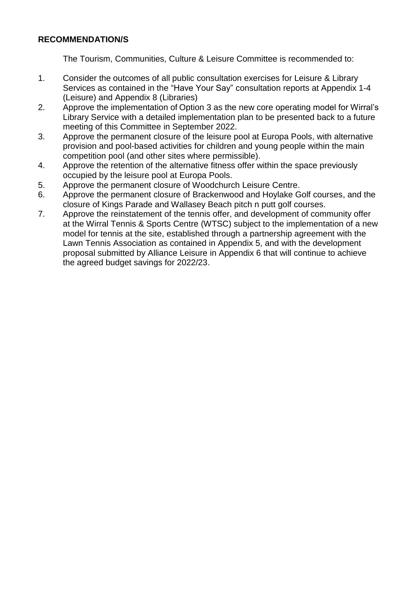#### **RECOMMENDATION/S**

The Tourism, Communities, Culture & Leisure Committee is recommended to:

- 1. Consider the outcomes of all public consultation exercises for Leisure & Library Services as contained in the "Have Your Say" consultation reports at Appendix 1-4 (Leisure) and Appendix 8 (Libraries)
- 2. Approve the implementation of Option 3 as the new core operating model for Wirral's Library Service with a detailed implementation plan to be presented back to a future meeting of this Committee in September 2022.
- 3. Approve the permanent closure of the leisure pool at Europa Pools, with alternative provision and pool-based activities for children and young people within the main competition pool (and other sites where permissible).
- 4. Approve the retention of the alternative fitness offer within the space previously occupied by the leisure pool at Europa Pools.
- 5. Approve the permanent closure of Woodchurch Leisure Centre.
- 6. Approve the permanent closure of Brackenwood and Hoylake Golf courses, and the closure of Kings Parade and Wallasey Beach pitch n putt golf courses.
- 7. Approve the reinstatement of the tennis offer, and development of community offer at the Wirral Tennis & Sports Centre (WTSC) subject to the implementation of a new model for tennis at the site, established through a partnership agreement with the Lawn Tennis Association as contained in Appendix 5, and with the development proposal submitted by Alliance Leisure in Appendix 6 that will continue to achieve the agreed budget savings for 2022/23.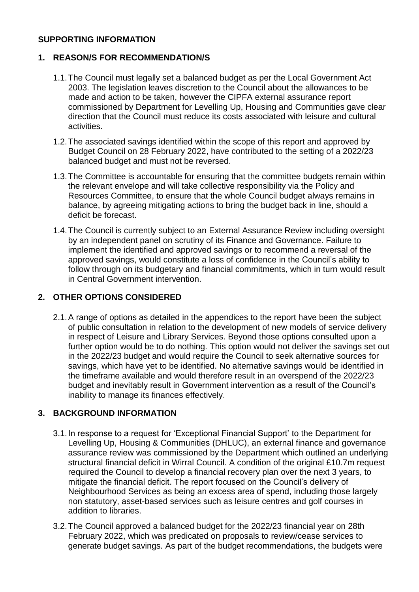#### **SUPPORTING INFORMATION**

#### **1. REASON/S FOR RECOMMENDATION/S**

- 1.1.The Council must legally set a balanced budget as per the Local Government Act 2003. The legislation leaves discretion to the Council about the allowances to be made and action to be taken, however the CIPFA external assurance report commissioned by Department for Levelling Up, Housing and Communities gave clear direction that the Council must reduce its costs associated with leisure and cultural activities.
- 1.2.The associated savings identified within the scope of this report and approved by Budget Council on 28 February 2022, have contributed to the setting of a 2022/23 balanced budget and must not be reversed.
- 1.3.The Committee is accountable for ensuring that the committee budgets remain within the relevant envelope and will take collective responsibility via the Policy and Resources Committee, to ensure that the whole Council budget always remains in balance, by agreeing mitigating actions to bring the budget back in line, should a deficit be forecast.
- 1.4.The Council is currently subject to an External Assurance Review including oversight by an independent panel on scrutiny of its Finance and Governance. Failure to implement the identified and approved savings or to recommend a reversal of the approved savings, would constitute a loss of confidence in the Council's ability to follow through on its budgetary and financial commitments, which in turn would result in Central Government intervention.

### **2. OTHER OPTIONS CONSIDERED**

2.1.A range of options as detailed in the appendices to the report have been the subject of public consultation in relation to the development of new models of service delivery in respect of Leisure and Library Services. Beyond those options consulted upon a further option would be to do nothing. This option would not deliver the savings set out in the 2022/23 budget and would require the Council to seek alternative sources for savings, which have yet to be identified. No alternative savings would be identified in the timeframe available and would therefore result in an overspend of the 2022/23 budget and inevitably result in Government intervention as a result of the Council's inability to manage its finances effectively.

### **3. BACKGROUND INFORMATION**

- 3.1.In response to a request for 'Exceptional Financial Support' to the Department for Levelling Up, Housing & Communities (DHLUC), an external finance and governance assurance review was commissioned by the Department which outlined an underlying structural financial deficit in Wirral Council. A condition of the original £10.7m request required the Council to develop a financial recovery plan over the next 3 years, to mitigate the financial deficit. The report focused on the Council's delivery of Neighbourhood Services as being an excess area of spend, including those largely non statutory, asset-based services such as leisure centres and golf courses in addition to libraries.
- 3.2.The Council approved a balanced budget for the 2022/23 financial year on 28th February 2022, which was predicated on proposals to review/cease services to generate budget savings. As part of the budget recommendations, the budgets were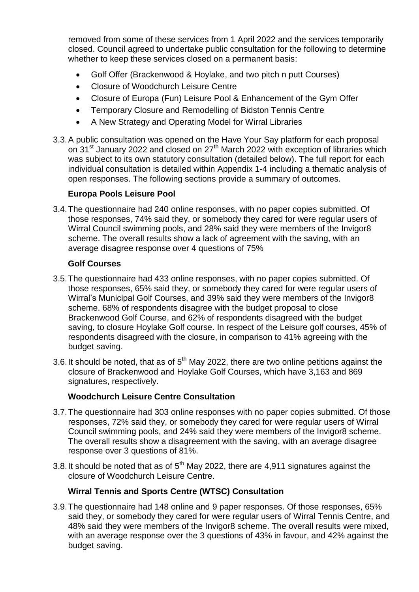removed from some of these services from 1 April 2022 and the services temporarily closed. Council agreed to undertake public consultation for the following to determine whether to keep these services closed on a permanent basis:

- Golf Offer (Brackenwood & Hoylake, and two pitch n putt Courses)
- Closure of Woodchurch Leisure Centre
- Closure of Europa (Fun) Leisure Pool & Enhancement of the Gym Offer
- Temporary Closure and Remodelling of Bidston Tennis Centre
- A New Strategy and Operating Model for Wirral Libraries
- 3.3.A public consultation was opened on the Have Your Say platform for each proposal on 31<sup>st</sup> January 2022 and closed on 27<sup>th</sup> March 2022 with exception of libraries which was subject to its own statutory consultation (detailed below). The full report for each individual consultation is detailed within Appendix 1-4 including a thematic analysis of open responses. The following sections provide a summary of outcomes.

### **Europa Pools Leisure Pool**

3.4.The questionnaire had 240 online responses, with no paper copies submitted. Of those responses, 74% said they, or somebody they cared for were regular users of Wirral Council swimming pools, and 28% said they were members of the Invigor8 scheme. The overall results show a lack of agreement with the saving, with an average disagree response over 4 questions of 75%

#### **Golf Courses**

- 3.5.The questionnaire had 433 online responses, with no paper copies submitted. Of those responses, 65% said they, or somebody they cared for were regular users of Wirral's Municipal Golf Courses, and 39% said they were members of the Invigor8 scheme. 68% of respondents disagree with the budget proposal to close Brackenwood Golf Course, and 62% of respondents disagreed with the budget saving, to closure Hoylake Golf course. In respect of the Leisure golf courses, 45% of respondents disagreed with the closure, in comparison to 41% agreeing with the budget saving.
- 3.6. It should be noted, that as of  $5<sup>th</sup>$  May 2022, there are two online petitions against the closure of Brackenwood and Hoylake Golf Courses, which have 3,163 and 869 signatures, respectively.

### **Woodchurch Leisure Centre Consultation**

- 3.7.The questionnaire had 303 online responses with no paper copies submitted. Of those responses, 72% said they, or somebody they cared for were regular users of Wirral Council swimming pools, and 24% said they were members of the Invigor8 scheme. The overall results show a disagreement with the saving, with an average disagree response over 3 questions of 81%.
- 3.8. It should be noted that as of  $5<sup>th</sup>$  May 2022, there are 4,911 signatures against the closure of Woodchurch Leisure Centre.

### **Wirral Tennis and Sports Centre (WTSC) Consultation**

3.9.The questionnaire had 148 online and 9 paper responses. Of those responses, 65% said they, or somebody they cared for were regular users of Wirral Tennis Centre, and 48% said they were members of the Invigor8 scheme. The overall results were mixed, with an average response over the 3 questions of 43% in favour, and 42% against the budget saving.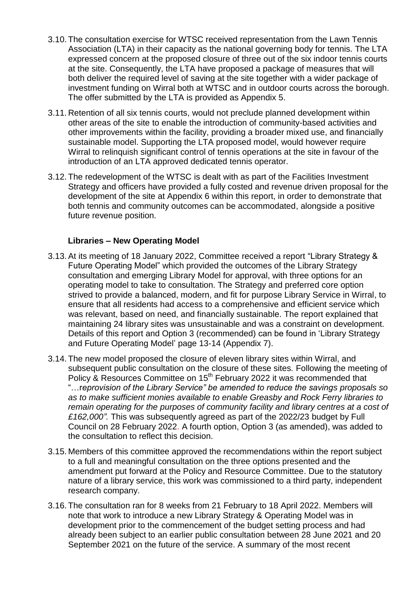- 3.10. The consultation exercise for WTSC received representation from the Lawn Tennis Association (LTA) in their capacity as the national governing body for tennis. The LTA expressed concern at the proposed closure of three out of the six indoor tennis courts at the site. Consequently, the LTA have proposed a package of measures that will both deliver the required level of saving at the site together with a wider package of investment funding on Wirral both at WTSC and in outdoor courts across the borough. The offer submitted by the LTA is provided as Appendix 5.
- 3.11. Retention of all six tennis courts, would not preclude planned development within other areas of the site to enable the introduction of community-based activities and other improvements within the facility, providing a broader mixed use, and financially sustainable model. Supporting the LTA proposed model, would however require Wirral to relinquish significant control of tennis operations at the site in favour of the introduction of an LTA approved dedicated tennis operator.
- 3.12. The redevelopment of the WTSC is dealt with as part of the Facilities Investment Strategy and officers have provided a fully costed and revenue driven proposal for the development of the site at Appendix 6 within this report, in order to demonstrate that both tennis and community outcomes can be accommodated, alongside a positive future revenue position.

#### **Libraries – New Operating Model**

- 3.13.At its meeting of 18 January 2022, Committee received a report "Library Strategy & Future Operating Model" which provided the outcomes of the Library Strategy consultation and emerging Library Model for approval, with three options for an operating model to take to consultation. The Strategy and preferred core option strived to provide a balanced, modern, and fit for purpose Library Service in Wirral, to ensure that all residents had access to a comprehensive and efficient service which was relevant, based on need, and financially sustainable. The report explained that maintaining 24 library sites was unsustainable and was a constraint on development. Details of this report and Option 3 (recommended) can be found in 'Library Strategy and Future Operating Model' page 13-14 (Appendix 7).
- 3.14. The new model proposed the closure of eleven library sites within Wirral, and subsequent public consultation on the closure of these sites. Following the meeting of Policy & Resources Committee on 15<sup>th</sup> February 2022 it was recommended that "…r*eprovision of the Library Service" be amended to reduce the savings proposals so as to make sufficient monies available to enable Greasby and Rock Ferry libraries to remain operating for the purposes of community facility and library centres at a cost of £162,000".* This was subsequently agreed as part of the 2022/23 budget by Full Council on 28 February 2022. A fourth option, Option 3 (as amended), was added to the consultation to reflect this decision.
- 3.15. Members of this committee approved the recommendations within the report subject to a full and meaningful consultation on the three options presented and the amendment put forward at the Policy and Resource Committee. Due to the statutory nature of a library service, this work was commissioned to a third party, independent research company.
- 3.16. The consultation ran for 8 weeks from 21 February to 18 April 2022. Members will note that work to introduce a new Library Strategy & Operating Model was in development prior to the commencement of the budget setting process and had already been subject to an earlier public consultation between 28 June 2021 and 20 September 2021 on the future of the service. A summary of the most recent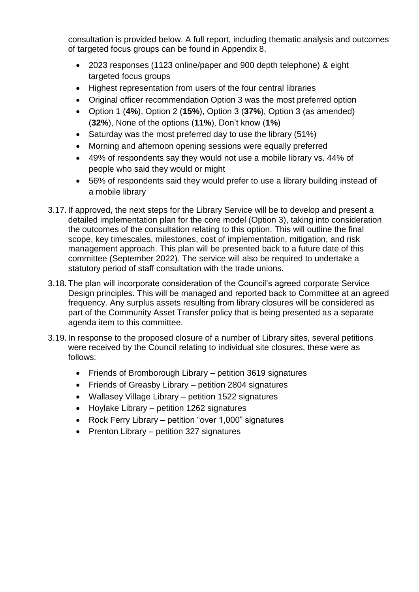consultation is provided below. A full report, including thematic analysis and outcomes of targeted focus groups can be found in Appendix 8.

- 2023 responses (1123 online/paper and 900 depth telephone) & eight targeted focus groups
- Highest representation from users of the four central libraries
- Original officer recommendation Option 3 was the most preferred option
- Option 1 (**4%**), Option 2 (**15%**), Option 3 (**37%**), Option 3 (as amended) (**32%**), None of the options (**11%**), Don't know (**1%**)
- Saturday was the most preferred day to use the library (51%)
- Morning and afternoon opening sessions were equally preferred
- 49% of respondents say they would not use a mobile library vs. 44% of people who said they would or might
- 56% of respondents said they would prefer to use a library building instead of a mobile library
- 3.17. If approved, the next steps for the Library Service will be to develop and present a detailed implementation plan for the core model (Option 3), taking into consideration the outcomes of the consultation relating to this option. This will outline the final scope, key timescales, milestones, cost of implementation, mitigation, and risk management approach. This plan will be presented back to a future date of this committee (September 2022). The service will also be required to undertake a statutory period of staff consultation with the trade unions.
- 3.18. The plan will incorporate consideration of the Council's agreed corporate Service Design principles. This will be managed and reported back to Committee at an agreed frequency. Any surplus assets resulting from library closures will be considered as part of the Community Asset Transfer policy that is being presented as a separate agenda item to this committee.
- 3.19. In response to the proposed closure of a number of Library sites, several petitions were received by the Council relating to individual site closures, these were as follows:
	- Friends of Bromborough Library petition 3619 signatures
	- Friends of Greasby Library petition 2804 signatures
	- Wallasey Village Library petition 1522 signatures
	- Hoylake Library petition 1262 signatures
	- Rock Ferry Library petition "over 1,000" signatures
	- $\bullet$  Prenton Library petition 327 signatures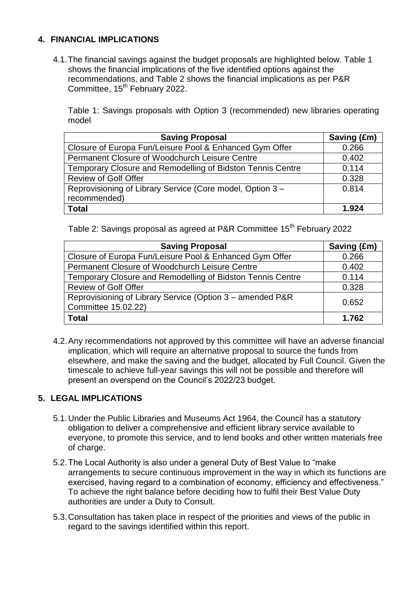### **4. FINANCIAL IMPLICATIONS**

4.1.The financial savings against the budget proposals are highlighted below. Table 1 shows the financial implications of the five identified options against the recommendations, and Table 2 shows the financial implications as per P&R Committee, 15<sup>th</sup> February 2022.

Table 1: Savings proposals with Option 3 (recommended) new libraries operating model

| <b>Saving Proposal</b>                                     | Saving (£m) |
|------------------------------------------------------------|-------------|
| Closure of Europa Fun/Leisure Pool & Enhanced Gym Offer    | 0.266       |
| Permanent Closure of Woodchurch Leisure Centre             | 0.402       |
| Temporary Closure and Remodelling of Bidston Tennis Centre | 0.114       |
| <b>Review of Golf Offer</b>                                | 0.328       |
| Reprovisioning of Library Service (Core model, Option 3 -  | 0.814       |
| recommended)                                               |             |
| <b>Total</b>                                               | 1.924       |

Table 2: Savings proposal as agreed at P&R Committee 15<sup>th</sup> February 2022

| <b>Saving Proposal</b>                                                           | Saving (£m) |
|----------------------------------------------------------------------------------|-------------|
| Closure of Europa Fun/Leisure Pool & Enhanced Gym Offer                          | 0.266       |
| Permanent Closure of Woodchurch Leisure Centre                                   | 0.402       |
| Temporary Closure and Remodelling of Bidston Tennis Centre                       | 0.114       |
| <b>Review of Golf Offer</b>                                                      | 0.328       |
| Reprovisioning of Library Service (Option 3 – amended P&R<br>Committee 15.02.22) | 0.652       |
| <b>Total</b>                                                                     | 1.762       |

4.2.Any recommendations not approved by this committee will have an adverse financial implication, which will require an alternative proposal to source the funds from elsewhere, and make the saving and the budget, allocated by Full Council. Given the timescale to achieve full-year savings this will not be possible and therefore will present an overspend on the Council's 2022/23 budget.

### **5. LEGAL IMPLICATIONS**

- 5.1.Under the Public Libraries and Museums Act 1964, the Council has a statutory obligation to deliver a comprehensive and efficient library service available to everyone, to promote this service, and to lend books and other written materials free of charge.
- 5.2.The Local Authority is also under a general Duty of Best Value to "make arrangements to secure continuous improvement in the way in which its functions are exercised, having regard to a combination of economy, efficiency and effectiveness." To achieve the right balance before deciding how to fulfil their Best Value Duty authorities are under a Duty to Consult.
- 5.3.Consultation has taken place in respect of the priorities and views of the public in regard to the savings identified within this report.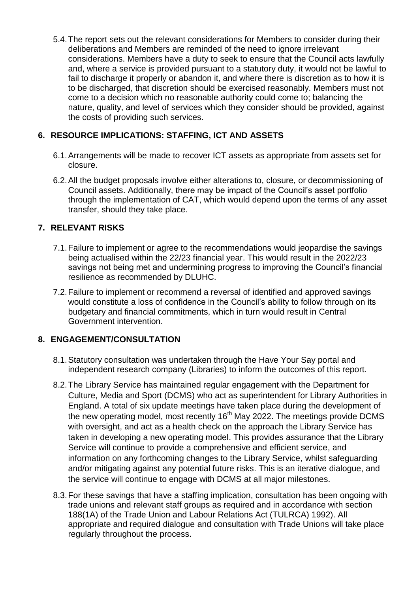5.4.The report sets out the relevant considerations for Members to consider during their deliberations and Members are reminded of the need to ignore irrelevant considerations. Members have a duty to seek to ensure that the Council acts lawfully and, where a service is provided pursuant to a statutory duty, it would not be lawful to fail to discharge it properly or abandon it, and where there is discretion as to how it is to be discharged, that discretion should be exercised reasonably. Members must not come to a decision which no reasonable authority could come to; balancing the nature, quality, and level of services which they consider should be provided, against the costs of providing such services.

### **6. RESOURCE IMPLICATIONS: STAFFING, ICT AND ASSETS**

- 6.1.Arrangements will be made to recover ICT assets as appropriate from assets set for closure.
- 6.2.All the budget proposals involve either alterations to, closure, or decommissioning of Council assets. Additionally, there may be impact of the Council's asset portfolio through the implementation of CAT, which would depend upon the terms of any asset transfer, should they take place.

## **7. RELEVANT RISKS**

- 7.1.Failure to implement or agree to the recommendations would jeopardise the savings being actualised within the 22/23 financial year. This would result in the 2022/23 savings not being met and undermining progress to improving the Council's financial resilience as recommended by DLUHC.
- 7.2.Failure to implement or recommend a reversal of identified and approved savings would constitute a loss of confidence in the Council's ability to follow through on its budgetary and financial commitments, which in turn would result in Central Government intervention.

## **8. ENGAGEMENT/CONSULTATION**

- 8.1.Statutory consultation was undertaken through the Have Your Say portal and independent research company (Libraries) to inform the outcomes of this report.
- 8.2.The Library Service has maintained regular engagement with the Department for Culture, Media and Sport (DCMS) who act as superintendent for Library Authorities in England. A total of six update meetings have taken place during the development of the new operating model, most recently 16<sup>th</sup> May 2022. The meetings provide DCMS with oversight, and act as a health check on the approach the Library Service has taken in developing a new operating model. This provides assurance that the Library Service will continue to provide a comprehensive and efficient service, and information on any forthcoming changes to the Library Service, whilst safeguarding and/or mitigating against any potential future risks. This is an iterative dialogue, and the service will continue to engage with DCMS at all major milestones.
- 8.3.For these savings that have a staffing implication, consultation has been ongoing with trade unions and relevant staff groups as required and in accordance with section 188(1A) of the Trade Union and Labour Relations Act (TULRCA) 1992). All appropriate and required dialogue and consultation with Trade Unions will take place regularly throughout the process.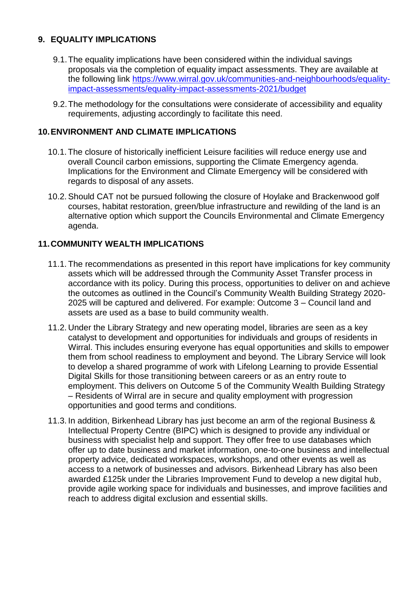### **9. EQUALITY IMPLICATIONS**

- 9.1.The equality implications have been considered within the individual savings proposals via the completion of equality impact assessments. They are available at the following link [https://www.wirral.gov.uk/communities-and-neighbourhoods/equality](https://www.wirral.gov.uk/communities-and-neighbourhoods/equality-impact-assessments/equality-impact-assessments-2021/budget)[impact-assessments/equality-impact-assessments-2021/budget](https://www.wirral.gov.uk/communities-and-neighbourhoods/equality-impact-assessments/equality-impact-assessments-2021/budget)
- 9.2.The methodology for the consultations were considerate of accessibility and equality requirements, adjusting accordingly to facilitate this need.

#### **10.ENVIRONMENT AND CLIMATE IMPLICATIONS**

- 10.1.The closure of historically inefficient Leisure facilities will reduce energy use and overall Council carbon emissions, supporting the Climate Emergency agenda. Implications for the Environment and Climate Emergency will be considered with regards to disposal of any assets.
- 10.2.Should CAT not be pursued following the closure of Hoylake and Brackenwood golf courses, habitat restoration, green/blue infrastructure and rewilding of the land is an alternative option which support the Councils Environmental and Climate Emergency agenda.

### **11.COMMUNITY WEALTH IMPLICATIONS**

- 11.1. The recommendations as presented in this report have implications for key community assets which will be addressed through the Community Asset Transfer process in accordance with its policy. During this process, opportunities to deliver on and achieve the outcomes as outlined in the Council's Community Wealth Building Strategy 2020- 2025 will be captured and delivered. For example: Outcome 3 – Council land and assets are used as a base to build community wealth.
- 11.2. Under the Library Strategy and new operating model, libraries are seen as a key catalyst to development and opportunities for individuals and groups of residents in Wirral. This includes ensuring everyone has equal opportunities and skills to empower them from school readiness to employment and beyond. The Library Service will look to develop a shared programme of work with Lifelong Learning to provide Essential Digital Skills for those transitioning between careers or as an entry route to employment. This delivers on Outcome 5 of the Community Wealth Building Strategy – Residents of Wirral are in secure and quality employment with progression opportunities and good terms and conditions.
- 11.3. In addition, Birkenhead Library has just become an arm of the regional Business & Intellectual Property Centre (BIPC) which is designed to provide any individual or business with specialist help and support. They offer free to use databases which offer up to date business and market information, one-to-one business and intellectual property advice, dedicated workspaces, workshops, and other events as well as access to a network of businesses and advisors. Birkenhead Library has also been awarded £125k under the Libraries Improvement Fund to develop a new digital hub, provide agile working space for individuals and businesses, and improve facilities and reach to address digital exclusion and essential skills.